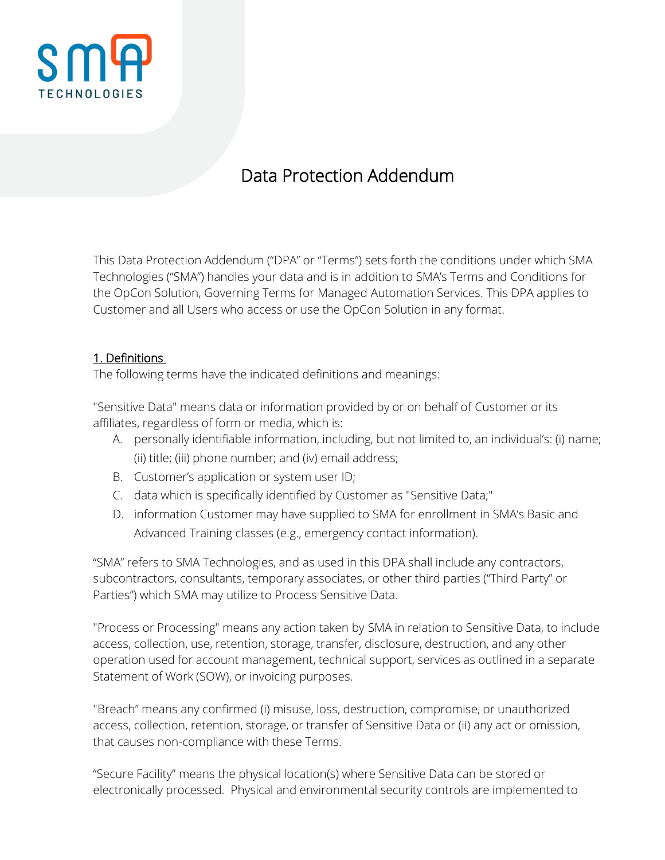

# Data Protection Addendum

This Data Protection Addendum ("DPA" or "Terms") sets forth the conditions under which SMA Technologies ("SMA") handles your data and is in addition to SMA's Terms and Conditions for the OpCon Solution, Governing Terms for Managed Automation Services. This DPA applies to Customer and all Users who access or use the OpCon Solution in any format.

#### 1. Definitions

The following terms have the indicated definitions and meanings:

"Sensitive Data" means data or information provided by or on behalf of Customer or its affiliates, regardless of form or media, which is:

- A. personally identifiable information, including, but not limited to, an individual's: (i) name; (ii) title; (iii) phone number; and (iv) email address;
- B. Customer's application or system user ID;
- C. data which is specifically identified by Customer as "Sensitive Data;"
- D. information Customer may have supplied to SMA for enrollment in SMA's Basic and Advanced Training classes (e.g., emergency contact information).

"SMA" refers to SMA Technologies, and as used in this DPA shall include any contractors, subcontractors, consultants, temporary associates, or other third parties ("Third Party" or Parties") which SMA may utilize to Process Sensitive Data.

"Process or Processing" means any action taken by SMA in relation to Sensitive Data, to include access, collection, use, retention, storage, transfer, disclosure, destruction, and any other operation used for account management, technical support, services as outlined in a separate Statement of Work (SOW), or invoicing purposes.

"Breach" means any confirmed (i) misuse, loss, destruction, compromise, or unauthorized access, collection, retention, storage, or transfer of Sensitive Data or (ii) any act or omission, that causes non-compliance with these Terms.

"Secure Facility" means the physical location(s) where Sensitive Data can be stored or electronically processed. Physical and environmental security controls are implemented to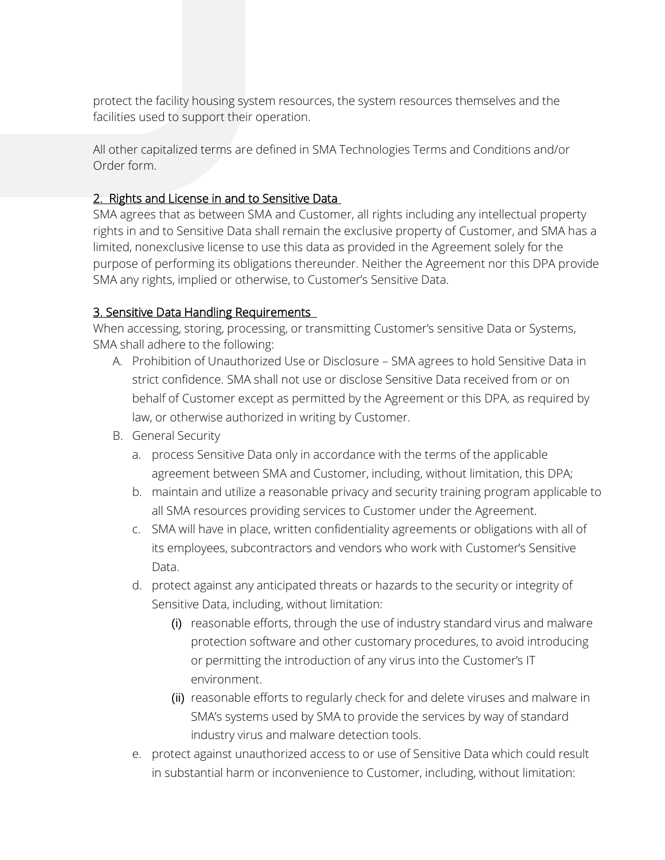protect the facility housing system resources, the system resources themselves and the facilities used to support their operation.

All other capitalized terms are defined in SMA Technologies Terms and Conditions and/or Order form.

#### 2. Rights and License in and to Sensitive Data

SMA agrees that as between SMA and Customer, all rights including any intellectual property rights in and to Sensitive Data shall remain the exclusive property of Customer, and SMA has a limited, nonexclusive license to use this data as provided in the Agreement solely for the purpose of performing its obligations thereunder. Neither the Agreement nor this DPA provide SMA any rights, implied or otherwise, to Customer's Sensitive Data.

## 3. Sensitive Data Handling Requirements

When accessing, storing, processing, or transmitting Customer's sensitive Data or Systems, SMA shall adhere to the following:

- A. Prohibition of Unauthorized Use or Disclosure SMA agrees to hold Sensitive Data in strict confidence. SMA shall not use or disclose Sensitive Data received from or on behalf of Customer except as permitted by the Agreement or this DPA, as required by law, or otherwise authorized in writing by Customer.
- B. General Security
	- a. process Sensitive Data only in accordance with the terms of the applicable agreement between SMA and Customer, including, without limitation, this DPA;
	- b. maintain and utilize a reasonable privacy and security training program applicable to all SMA resources providing services to Customer under the Agreement.
	- c. SMA will have in place, written confidentiality agreements or obligations with all of its employees, subcontractors and vendors who work with Customer's Sensitive Data.
	- d. protect against any anticipated threats or hazards to the security or integrity of Sensitive Data, including, without limitation:
		- (i) reasonable efforts, through the use of industry standard virus and malware protection software and other customary procedures, to avoid introducing or permitting the introduction of any virus into the Customer's IT environment.
		- (ii) reasonable efforts to regularly check for and delete viruses and malware in SMA's systems used by SMA to provide the services by way of standard industry virus and malware detection tools.
	- e. protect against unauthorized access to or use of Sensitive Data which could result in substantial harm or inconvenience to Customer, including, without limitation: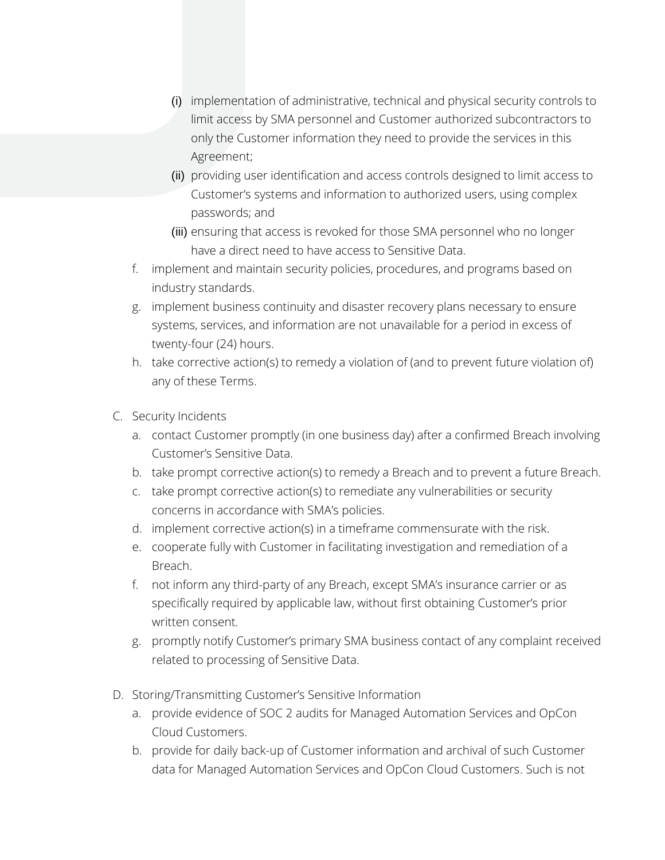- (i) implementation of administrative, technical and physical security controls to limit access by SMA personnel and Customer authorized subcontractors to only the Customer information they need to provide the services in this Agreement;
- (ii) providing user identification and access controls designed to limit access to Customer's systems and information to authorized users, using complex passwords; and
- (iii) ensuring that access is revoked for those SMA personnel who no longer have a direct need to have access to Sensitive Data.
- f. implement and maintain security policies, procedures, and programs based on industry standards.
- g. implement business continuity and disaster recovery plans necessary to ensure systems, services, and information are not unavailable for a period in excess of twenty-four (24) hours.
- h. take corrective action(s) to remedy a violation of (and to prevent future violation of) any of these Terms.
- C. Security Incidents
	- a. contact Customer promptly (in one business day) after a confirmed Breach involving Customer's Sensitive Data.
	- b. take prompt corrective action(s) to remedy a Breach and to prevent a future Breach.
	- c. take prompt corrective action(s) to remediate any vulnerabilities or security concerns in accordance with SMA's policies.
	- d. implement corrective action(s) in a timeframe commensurate with the risk.
	- e. cooperate fully with Customer in facilitating investigation and remediation of a Breach.
	- f. not inform any third-party of any Breach, except SMA's insurance carrier or as specifically required by applicable law, without first obtaining Customer's prior written consent.
	- g. promptly notify Customer's primary SMA business contact of any complaint received related to processing of Sensitive Data.
- D. Storing/Transmitting Customer's Sensitive Information
	- a. provide evidence of SOC 2 audits for Managed Automation Services and OpCon Cloud Customers.
	- b. provide for daily back-up of Customer information and archival of such Customer data for Managed Automation Services and OpCon Cloud Customers. Such is not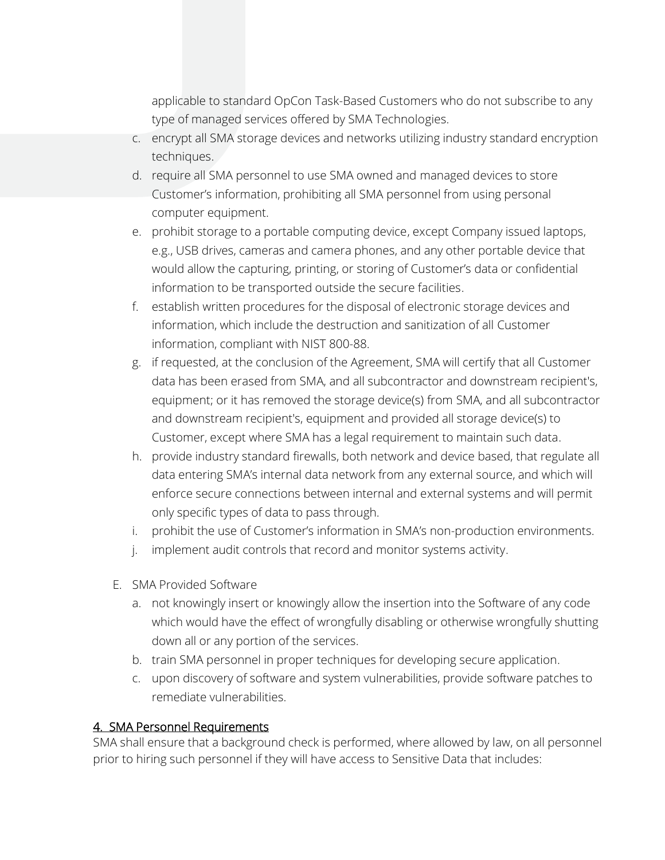applicable to standard OpCon Task-Based Customers who do not subscribe to any type of managed services offered by SMA Technologies.

- c. encrypt all SMA storage devices and networks utilizing industry standard encryption techniques.
- d. require all SMA personnel to use SMA owned and managed devices to store Customer's information, prohibiting all SMA personnel from using personal computer equipment.
- e. prohibit storage to a portable computing device, except Company issued laptops, e.g., USB drives, cameras and camera phones, and any other portable device that would allow the capturing, printing, or storing of Customer's data or confidential information to be transported outside the secure facilities.
- f. establish written procedures for the disposal of electronic storage devices and information, which include the destruction and sanitization of all Customer information, compliant with NIST 800-88.
- g. if requested, at the conclusion of the Agreement, SMA will certify that all Customer data has been erased from SMA, and all subcontractor and downstream recipient's, equipment; or it has removed the storage device(s) from SMA, and all subcontractor and downstream recipient's, equipment and provided all storage device(s) to Customer, except where SMA has a legal requirement to maintain such data.
- h. provide industry standard firewalls, both network and device based, that regulate all data entering SMA's internal data network from any external source, and which will enforce secure connections between internal and external systems and will permit only specific types of data to pass through.
- i. prohibit the use of Customer's information in SMA's non-production environments.
- j. implement audit controls that record and monitor systems activity.
- E. SMA Provided Software
	- a. not knowingly insert or knowingly allow the insertion into the Software of any code which would have the effect of wrongfully disabling or otherwise wrongfully shutting down all or any portion of the services.
	- b. train SMA personnel in proper techniques for developing secure application.
	- c. upon discovery of software and system vulnerabilities, provide software patches to remediate vulnerabilities.

#### 4. SMA Personnel Requirements

SMA shall ensure that a background check is performed, where allowed by law, on all personnel prior to hiring such personnel if they will have access to Sensitive Data that includes: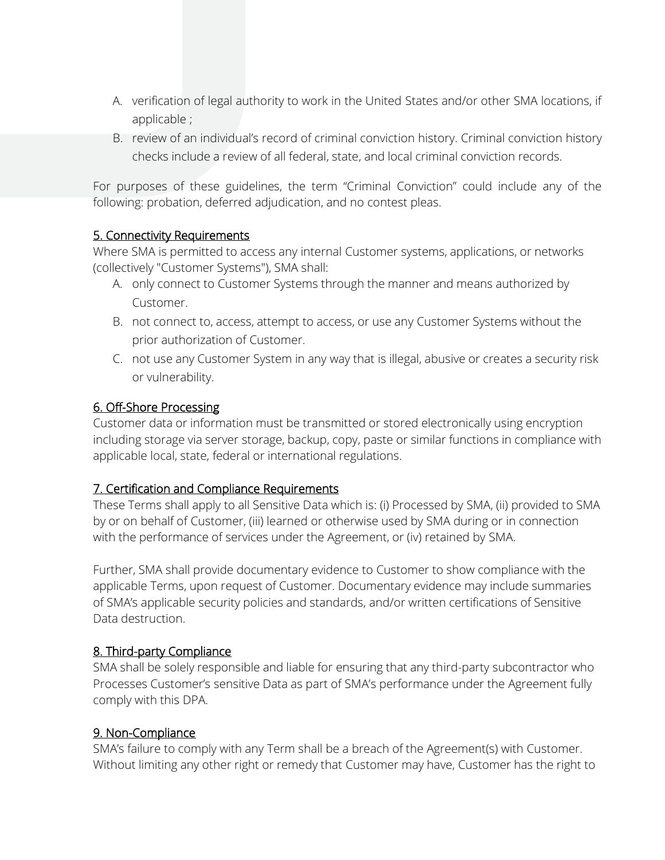- A. verification of legal authority to work in the United States and/or other SMA locations, if applicable ;
- B. review of an individual's record of criminal conviction history. Criminal conviction history checks include a review of all federal, state, and local criminal conviction records.

For purposes of these guidelines, the term "Criminal Conviction" could include any of the following: probation, deferred adjudication, and no contest pleas.

#### 5. Connectivity Requirements

Where SMA is permitted to access any internal Customer systems, applications, or networks (collectively "Customer Systems"), SMA shall:

- A. only connect to Customer Systems through the manner and means authorized by Customer.
- B. not connect to, access, attempt to access, or use any Customer Systems without the prior authorization of Customer.
- C. not use any Customer System in any way that is illegal, abusive or creates a security risk or vulnerability.

## 6. Off-Shore Processing

Customer data or information must be transmitted or stored electronically using encryption including storage via server storage, backup, copy, paste or similar functions in compliance with applicable local, state, federal or international regulations.

## 7. Certification and Compliance Requirements

These Terms shall apply to all Sensitive Data which is: (i) Processed by SMA, (ii) provided to SMA by or on behalf of Customer, (iii) learned or otherwise used by SMA during or in connection with the performance of services under the Agreement, or (iv) retained by SMA.

Further, SMA shall provide documentary evidence to Customer to show compliance with the applicable Terms, upon request of Customer. Documentary evidence may include summaries of SMA's applicable security policies and standards, and/or written certifications of Sensitive Data destruction.

## 8. Third-party Compliance

SMA shall be solely responsible and liable for ensuring that any third-party subcontractor who Processes Customer's sensitive Data as part of SMA's performance under the Agreement fully comply with this DPA.

## 9. Non-Compliance

SMA's failure to comply with any Term shall be a breach of the Agreement(s) with Customer. Without limiting any other right or remedy that Customer may have, Customer has the right to